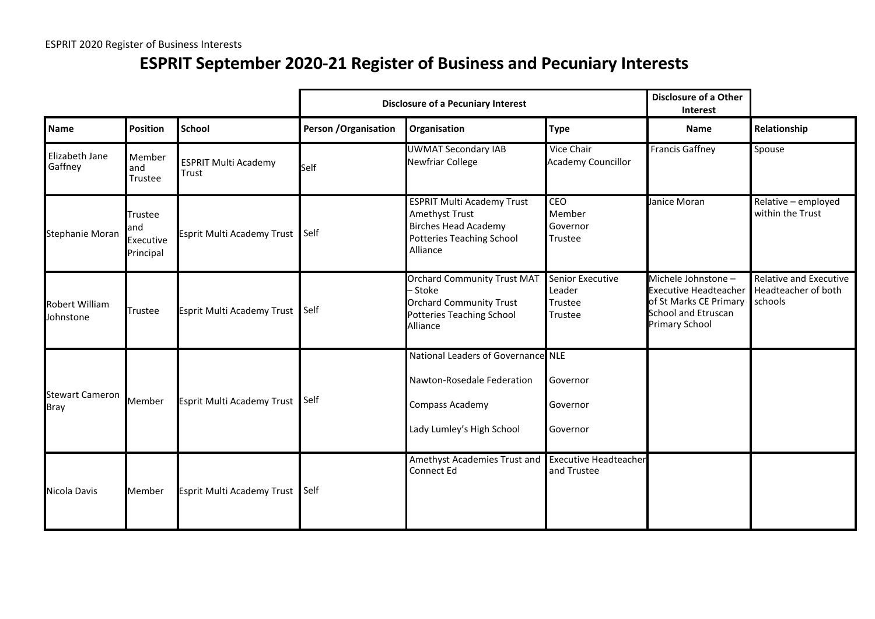## **ESPRIT September 2020-21 Register of Business and Pecuniary Interests**

|                                    |                                          |                                      | <b>Disclosure of a Pecuniary Interest</b> |                                                                                                                                    |                                                  | <b>Disclosure of a Other</b><br>Interest                                                                                             |                                                                 |  |
|------------------------------------|------------------------------------------|--------------------------------------|-------------------------------------------|------------------------------------------------------------------------------------------------------------------------------------|--------------------------------------------------|--------------------------------------------------------------------------------------------------------------------------------------|-----------------------------------------------------------------|--|
| <b>Name</b>                        | <b>Position</b>                          | <b>School</b>                        | <b>Person / Organisation</b>              | Organisation                                                                                                                       | <b>Type</b>                                      | <b>Name</b>                                                                                                                          | Relationship                                                    |  |
| Elizabeth Jane<br>Gaffney          | Member<br>land<br>Trustee                | <b>ESPRIT Multi Academy</b><br>Trust | Self                                      | <b>UWMAT Secondary IAB</b><br>Newfriar College                                                                                     | Vice Chair<br><b>Academy Councillor</b>          | <b>Francis Gaffney</b>                                                                                                               | Spouse                                                          |  |
| Stephanie Moran                    | Trustee<br>and<br>Executive<br>Principal | Esprit Multi Academy Trust           | <b>Self</b>                               | <b>ESPRIT Multi Academy Trust</b><br>Amethyst Trust<br><b>Birches Head Academy</b><br><b>Potteries Teaching School</b><br>Alliance | CEO<br>Member<br>Governor<br>Trustee             | Janice Moran                                                                                                                         | Relative - employed<br>within the Trust                         |  |
| <b>Robert William</b><br>Johnstone | Trustee                                  | Esprit Multi Academy Trust Self      |                                           | <b>Orchard Community Trust MAT</b><br>– Stoke<br><b>Orchard Community Trust</b><br>Potteries Teaching School<br>Alliance           | Senior Executive<br>Leader<br>Trustee<br>Trustee | Michele Johnstone -<br><b>Executive Headteacher</b><br>of St Marks CE Primary<br><b>School and Etruscan</b><br><b>Primary School</b> | <b>Relative and Executive</b><br>Headteacher of both<br>schools |  |
| <b>Stewart Cameron</b><br>Bray     | Member                                   | Esprit Multi Academy Trust Self      |                                           | National Leaders of Governance NLE<br>Nawton-Rosedale Federation<br>Compass Academy<br>Lady Lumley's High School                   | Governor<br>Governor<br>Governor                 |                                                                                                                                      |                                                                 |  |
| Nicola Davis                       | Member                                   | Esprit Multi Academy Trust Self      |                                           | Amethyst Academies Trust and<br>Connect Ed                                                                                         | <b>Executive Headteacher</b><br>and Trustee      |                                                                                                                                      |                                                                 |  |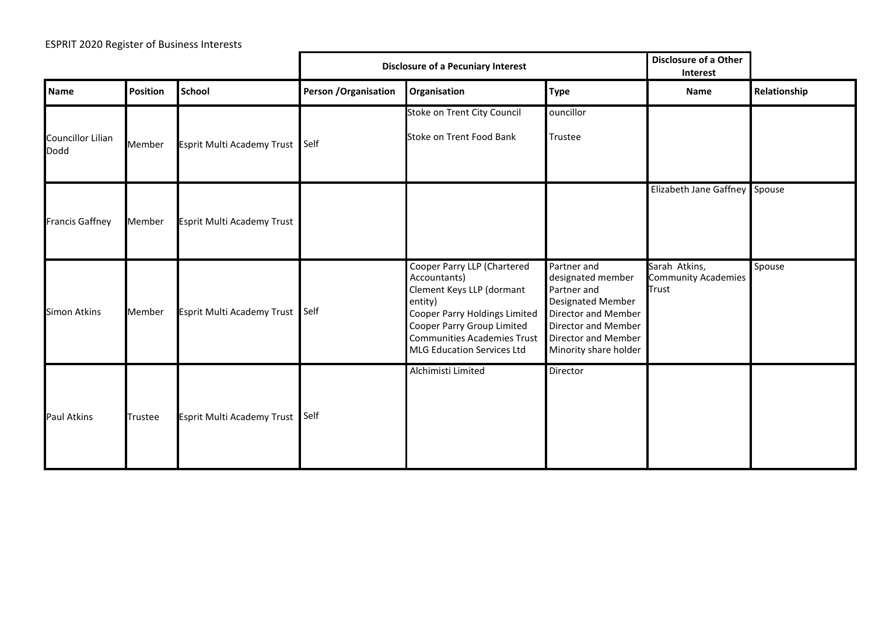|                                         |                 |                                   | <b>Disclosure of a Pecuniary Interest</b> |                                                                                                                                                                                                                        |                                                                                                                                                                           | <b>Disclosure of a Other</b><br>Interest      |              |
|-----------------------------------------|-----------------|-----------------------------------|-------------------------------------------|------------------------------------------------------------------------------------------------------------------------------------------------------------------------------------------------------------------------|---------------------------------------------------------------------------------------------------------------------------------------------------------------------------|-----------------------------------------------|--------------|
| <b>Name</b>                             | <b>Position</b> | <b>School</b>                     | <b>Person / Organisation</b>              | Organisation                                                                                                                                                                                                           | <b>Type</b>                                                                                                                                                               | Name                                          | Relationship |
| <b>Councillor Lilian</b><br><b>Dodd</b> | Member          | <b>Esprit Multi Academy Trust</b> | <b>Self</b>                               | Stoke on Trent City Council<br>Stoke on Trent Food Bank                                                                                                                                                                | ouncillor<br>Trustee                                                                                                                                                      |                                               |              |
| <b>Francis Gaffney</b>                  | Member          | Esprit Multi Academy Trust        |                                           |                                                                                                                                                                                                                        |                                                                                                                                                                           | Elizabeth Jane Gaffney Spouse                 |              |
| <b>Simon Atkins</b>                     | Member          | Esprit Multi Academy Trust Self   |                                           | Cooper Parry LLP (Chartered<br>Accountants)<br>Clement Keys LLP (dormant<br>entity)<br>Cooper Parry Holdings Limited<br>Cooper Parry Group Limited<br><b>Communities Academies Trust</b><br>MLG Education Services Ltd | Partner and<br>designated member<br>Partner and<br><b>Designated Member</b><br>Director and Member<br>Director and Member<br>Director and Member<br>Minority share holder | Sarah Atkins,<br>Community Academies<br>Trust | Spouse       |
| Paul Atkins                             | Trustee         | Esprit Multi Academy Trust Self   |                                           | Alchimisti Limited                                                                                                                                                                                                     | Director                                                                                                                                                                  |                                               |              |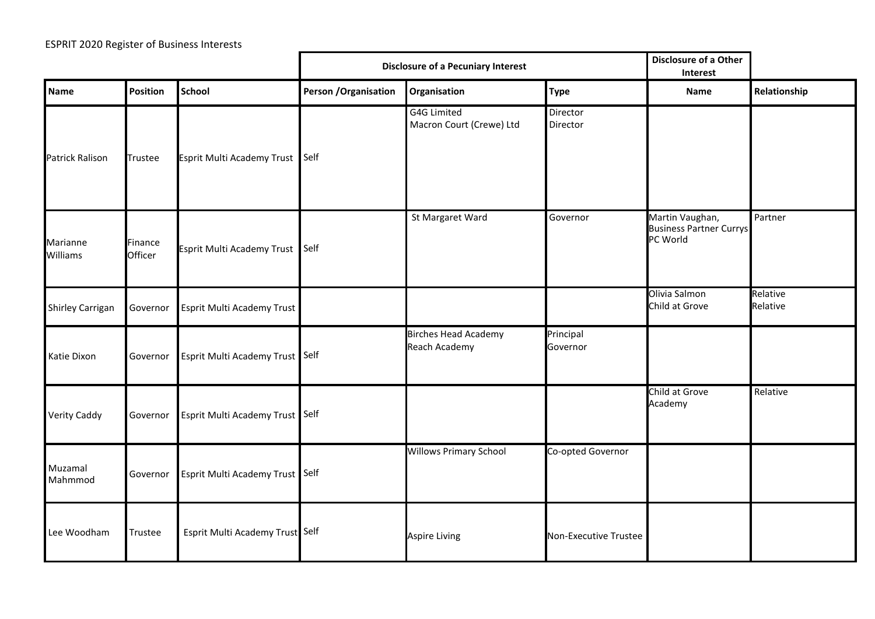|                      |                    |                                 | <b>Disclosure of a Pecuniary Interest</b> |                                                     |                       | Disclosure of a Other<br>Interest                             |                      |
|----------------------|--------------------|---------------------------------|-------------------------------------------|-----------------------------------------------------|-----------------------|---------------------------------------------------------------|----------------------|
| <b>Name</b>          | Position           | <b>School</b>                   | Person / Organisation                     | Organisation                                        | <b>Type</b>           | <b>Name</b>                                                   | Relationship         |
| Patrick Ralison      | Trustee            | Esprit Multi Academy Trust Self |                                           | <b>G4G Limited</b><br>Macron Court (Crewe) Ltd      | Director<br>Director  |                                                               |                      |
| Marianne<br>Williams | Finance<br>Officer | Esprit Multi Academy Trust Self |                                           | St Margaret Ward                                    | Governor              | Martin Vaughan,<br><b>Business Partner Currys</b><br>PC World | Partner              |
| Shirley Carrigan     | Governor           | Esprit Multi Academy Trust      |                                           |                                                     |                       | Olivia Salmon<br>Child at Grove                               | Relative<br>Relative |
| Katie Dixon          | Governor           | Esprit Multi Academy Trust Self |                                           | <b>Birches Head Academy</b><br><b>Reach Academy</b> | Principal<br>Governor |                                                               |                      |
| Verity Caddy         | Governor           | Esprit Multi Academy Trust Self |                                           |                                                     |                       | Child at Grove<br>Academy                                     | Relative             |
| Muzamal<br>Mahmmod   | Governor           | Esprit Multi Academy Trust Self |                                           | <b>Willows Primary School</b>                       | Co-opted Governor     |                                                               |                      |
| Lee Woodham          | Trustee            | Esprit Multi Academy Trust Self |                                           | <b>Aspire Living</b>                                | Non-Executive Trustee |                                                               |                      |